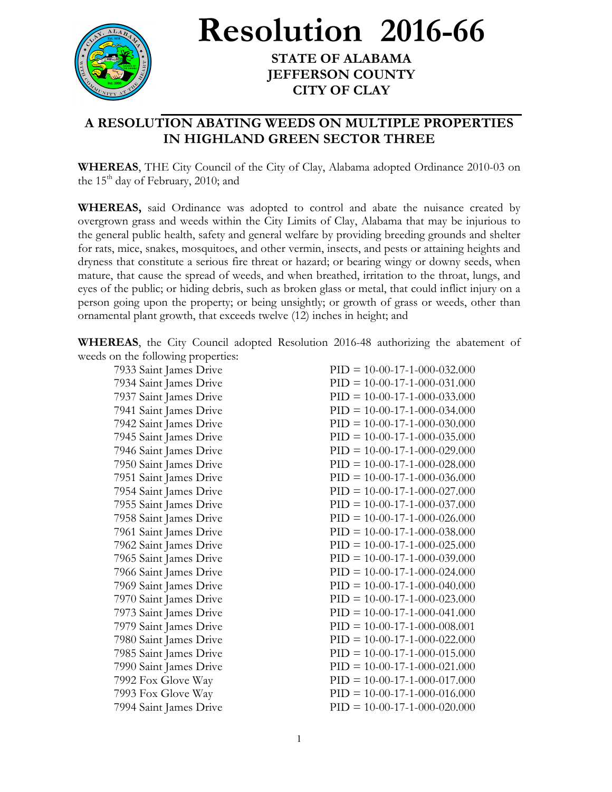

**Resolution 2016-66**

**STATE OF ALABAMA JEFFERSON COUNTY CITY OF CLAY**

## **A RESOLUTION ABATING WEEDS ON MULTIPLE PROPERTIES IN HIGHLAND GREEN SECTOR THREE**

**WHEREAS**, THE City Council of the City of Clay, Alabama adopted Ordinance 2010-03 on the  $15<sup>th</sup>$  day of February, 2010; and

**WHEREAS,** said Ordinance was adopted to control and abate the nuisance created by overgrown grass and weeds within the City Limits of Clay, Alabama that may be injurious to the general public health, safety and general welfare by providing breeding grounds and shelter for rats, mice, snakes, mosquitoes, and other vermin, insects, and pests or attaining heights and dryness that constitute a serious fire threat or hazard; or bearing wingy or downy seeds, when mature, that cause the spread of weeds, and when breathed, irritation to the throat, lungs, and eyes of the public; or hiding debris, such as broken glass or metal, that could inflict injury on a person going upon the property; or being unsightly; or growth of grass or weeds, other than ornamental plant growth, that exceeds twelve (12) inches in height; and

**WHEREAS**, the City Council adopted Resolution 2016-48 authorizing the abatement of weeds on the following properties:

7933 Saint James Drive PID = 10-00-17-1-000-032.000 7934 Saint James Drive PID = 10-00-17-1-000-031.000 7937 Saint James Drive PID = 10-00-17-1-000-033.000 7941 Saint James Drive PID = 10-00-17-1-000-034.000 7942 Saint James Drive PID = 10-00-17-1-000-030.000 7945 Saint James Drive PID = 10-00-17-1-000-035.000 7946 Saint James Drive PID = 10-00-17-1-000-029.000 7950 Saint James Drive PID = 10-00-17-1-000-028.000 7951 Saint James Drive PID = 10-00-17-1-000-036.000 7954 Saint James Drive PID = 10-00-17-1-000-027.000 7955 Saint James Drive PID = 10-00-17-1-000-037.000 7958 Saint James Drive PID = 10-00-17-1-000-026.000 7961 Saint James Drive PID = 10-00-17-1-000-038.000 7962 Saint James Drive PID = 10-00-17-1-000-025.000 7965 Saint James Drive PID = 10-00-17-1-000-039.000 7966 Saint James Drive PID = 10-00-17-1-000-024.000 7969 Saint James Drive PID = 10-00-17-1-000-040.000 7970 Saint James Drive PID = 10-00-17-1-000-023.000 7973 Saint James Drive PID = 10-00-17-1-000-041.000 7979 Saint James Drive PID = 10-00-17-1-000-008.001 7980 Saint James Drive PID = 10-00-17-1-000-022.000 7985 Saint James Drive PID = 10-00-17-1-000-015.000 7990 Saint James Drive PID = 10-00-17-1-000-021.000 7992 Fox Glove Way PID = 10-00-17-1-000-017.000 7993 Fox Glove Way PID = 10-00-17-1-000-016.000 7994 Saint James Drive PID = 10-00-17-1-000-020.000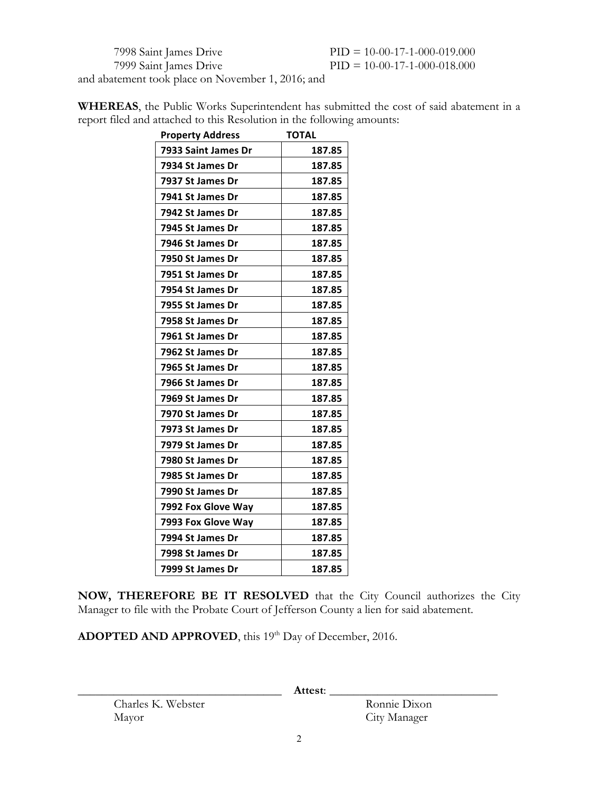7998 Saint James Drive PID = 10-00-17-1-000-019.000 7999 Saint James Drive PID = 10-00-17-1-000-018.000

and abatement took place on November 1, 2016; and

| <b>Property Address</b>                                                | <b>TOTAL</b>                                                                                   |
|------------------------------------------------------------------------|------------------------------------------------------------------------------------------------|
| report filed and attached to this Resolution in the following amounts: |                                                                                                |
|                                                                        | <b>WHEREAS</b> , the Public Works Superintendent has submitted the cost of said abatement in a |

| <b>Property Address</b> | <b>TOTAL</b> |
|-------------------------|--------------|
| 7933 Saint James Dr     | 187.85       |
| 7934 St James Dr        | 187.85       |
| 7937 St James Dr        | 187.85       |
| 7941 St James Dr        | 187.85       |
| 7942 St James Dr        | 187.85       |
| 7945 St James Dr        | 187.85       |
| 7946 St James Dr        | 187.85       |
| 7950 St James Dr        | 187.85       |
| 7951 St James Dr        | 187.85       |
| 7954 St James Dr        | 187.85       |
| 7955 St James Dr        | 187.85       |
| 7958 St James Dr        | 187.85       |
| 7961 St James Dr        | 187.85       |
| 7962 St James Dr        | 187.85       |
| 7965 St James Dr        | 187.85       |
| 7966 St James Dr        | 187.85       |
| 7969 St James Dr        | 187.85       |
| 7970 St James Dr        | 187.85       |
| 7973 St James Dr        | 187.85       |
| 7979 St James Dr        | 187.85       |
| 7980 St James Dr        | 187.85       |
| 7985 St James Dr        | 187.85       |
| 7990 St James Dr        | 187.85       |
| 7992 Fox Glove Way      | 187.85       |
| 7993 Fox Glove Way      | 187.85       |
| 7994 St James Dr        | 187.85       |
| 7998 St James Dr        | 187.85       |
| 7999 St James Dr        | 187.85       |

**NOW, THEREFORE BE IT RESOLVED** that the City Council authorizes the City Manager to file with the Probate Court of Jefferson County a lien for said abatement.

ADOPTED AND APPROVED, this 19<sup>th</sup> Day of December, 2016.

Charles K. Webster Ronnie Dixon Mayor City Manager

\_\_\_\_\_\_\_\_\_\_\_\_\_\_\_\_\_\_\_\_\_\_\_\_\_\_\_\_\_\_\_\_\_\_ **Attest**: \_\_\_\_\_\_\_\_\_\_\_\_\_\_\_\_\_\_\_\_\_\_\_\_\_\_\_\_